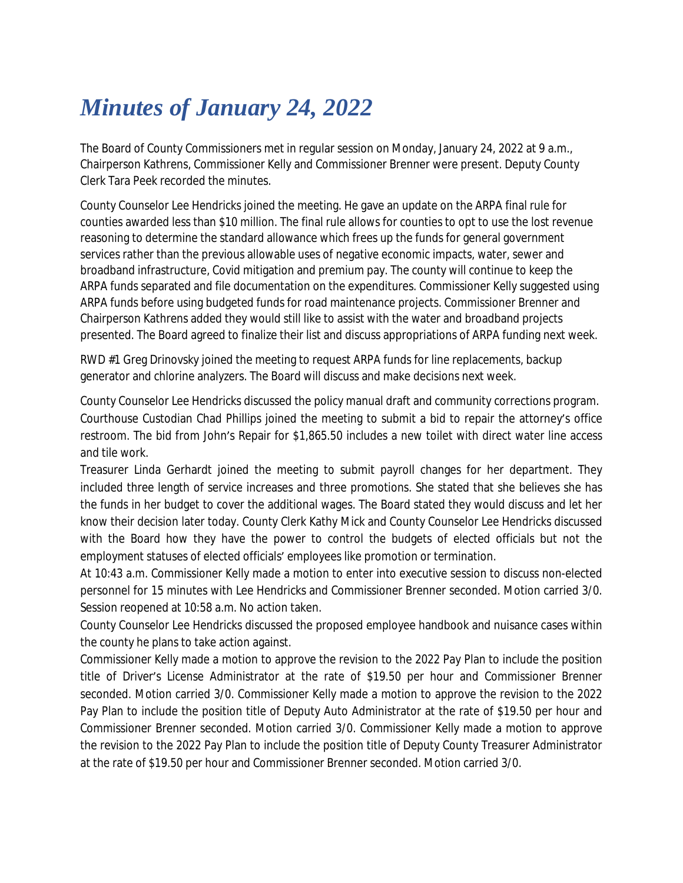## *Minutes of January 24, 2022*

The Board of County Commissioners met in regular session on Monday, January 24, 2022 at 9 a.m., Chairperson Kathrens, Commissioner Kelly and Commissioner Brenner were present. Deputy County Clerk Tara Peek recorded the minutes.

County Counselor Lee Hendricks joined the meeting. He gave an update on the ARPA final rule for counties awarded less than \$10 million. The final rule allows for counties to opt to use the lost revenue reasoning to determine the standard allowance which frees up the funds for general government services rather than the previous allowable uses of negative economic impacts, water, sewer and broadband infrastructure, Covid mitigation and premium pay. The county will continue to keep the ARPA funds separated and file documentation on the expenditures. Commissioner Kelly suggested using ARPA funds before using budgeted funds for road maintenance projects. Commissioner Brenner and Chairperson Kathrens added they would still like to assist with the water and broadband projects presented. The Board agreed to finalize their list and discuss appropriations of ARPA funding next week.

RWD #1 Greg Drinovsky joined the meeting to request ARPA funds for line replacements, backup generator and chlorine analyzers. The Board will discuss and make decisions next week.

County Counselor Lee Hendricks discussed the policy manual draft and community corrections program. Courthouse Custodian Chad Phillips joined the meeting to submit a bid to repair the attorney's office restroom. The bid from John's Repair for \$1,865.50 includes a new toilet with direct water line access and tile work.

Treasurer Linda Gerhardt joined the meeting to submit payroll changes for her department. They included three length of service increases and three promotions. She stated that she believes she has the funds in her budget to cover the additional wages. The Board stated they would discuss and let her know their decision later today. County Clerk Kathy Mick and County Counselor Lee Hendricks discussed with the Board how they have the power to control the budgets of elected officials but not the employment statuses of elected officials' employees like promotion or termination.

At 10:43 a.m. Commissioner Kelly made a motion to enter into executive session to discuss non-elected personnel for 15 minutes with Lee Hendricks and Commissioner Brenner seconded. Motion carried 3/0. Session reopened at 10:58 a.m. No action taken.

County Counselor Lee Hendricks discussed the proposed employee handbook and nuisance cases within the county he plans to take action against.

Commissioner Kelly made a motion to approve the revision to the 2022 Pay Plan to include the position title of Driver's License Administrator at the rate of \$19.50 per hour and Commissioner Brenner seconded. Motion carried 3/0. Commissioner Kelly made a motion to approve the revision to the 2022 Pay Plan to include the position title of Deputy Auto Administrator at the rate of \$19.50 per hour and Commissioner Brenner seconded. Motion carried 3/0. Commissioner Kelly made a motion to approve the revision to the 2022 Pay Plan to include the position title of Deputy County Treasurer Administrator at the rate of \$19.50 per hour and Commissioner Brenner seconded. Motion carried 3/0.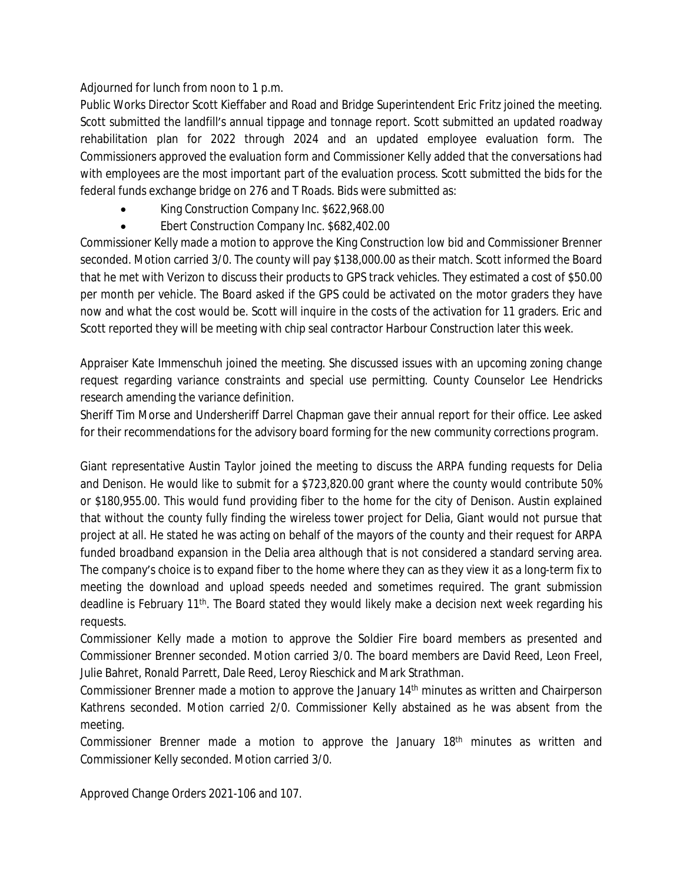Adjourned for lunch from noon to 1 p.m.

Public Works Director Scott Kieffaber and Road and Bridge Superintendent Eric Fritz joined the meeting. Scott submitted the landfill's annual tippage and tonnage report. Scott submitted an updated roadway rehabilitation plan for 2022 through 2024 and an updated employee evaluation form. The Commissioners approved the evaluation form and Commissioner Kelly added that the conversations had with employees are the most important part of the evaluation process. Scott submitted the bids for the federal funds exchange bridge on 276 and T Roads. Bids were submitted as:

- **King Construction Company Inc. \$622,968.00**
- Ebert Construction Company Inc. \$682,402.00

Commissioner Kelly made a motion to approve the King Construction low bid and Commissioner Brenner seconded. Motion carried 3/0. The county will pay \$138,000.00 as their match. Scott informed the Board that he met with Verizon to discuss their products to GPS track vehicles. They estimated a cost of \$50.00 per month per vehicle. The Board asked if the GPS could be activated on the motor graders they have now and what the cost would be. Scott will inquire in the costs of the activation for 11 graders. Eric and Scott reported they will be meeting with chip seal contractor Harbour Construction later this week.

Appraiser Kate Immenschuh joined the meeting. She discussed issues with an upcoming zoning change request regarding variance constraints and special use permitting. County Counselor Lee Hendricks research amending the variance definition.

Sheriff Tim Morse and Undersheriff Darrel Chapman gave their annual report for their office. Lee asked for their recommendations for the advisory board forming for the new community corrections program.

Giant representative Austin Taylor joined the meeting to discuss the ARPA funding requests for Delia and Denison. He would like to submit for a \$723,820.00 grant where the county would contribute 50% or \$180,955.00. This would fund providing fiber to the home for the city of Denison. Austin explained that without the county fully finding the wireless tower project for Delia, Giant would not pursue that project at all. He stated he was acting on behalf of the mayors of the county and their request for ARPA funded broadband expansion in the Delia area although that is not considered a standard serving area. The company's choice is to expand fiber to the home where they can as they view it as a long-term fix to meeting the download and upload speeds needed and sometimes required. The grant submission deadline is February 11<sup>th</sup>. The Board stated they would likely make a decision next week regarding his requests.

Commissioner Kelly made a motion to approve the Soldier Fire board members as presented and Commissioner Brenner seconded. Motion carried 3/0. The board members are David Reed, Leon Freel, Julie Bahret, Ronald Parrett, Dale Reed, Leroy Rieschick and Mark Strathman.

Commissioner Brenner made a motion to approve the January 14th minutes as written and Chairperson Kathrens seconded. Motion carried 2/0. Commissioner Kelly abstained as he was absent from the meeting.

Commissioner Brenner made a motion to approve the January 18th minutes as written and Commissioner Kelly seconded. Motion carried 3/0.

Approved Change Orders 2021-106 and 107.